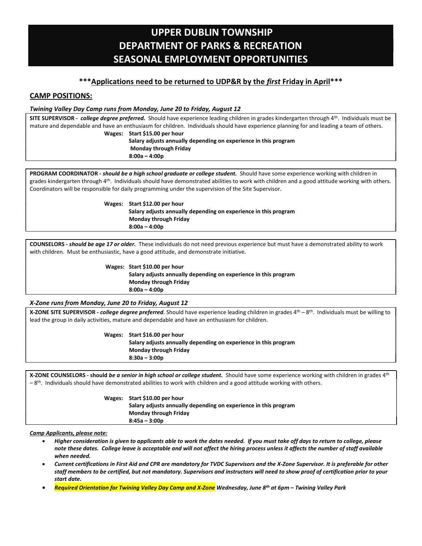# UPPER DUBLIN TOWNSHIP DEPARTMENT OF PARKS & RECREATION SEASONAL EMPLOYMENT OPPORTUNITIES

# \*\*\*Applications need to be returned to UDP&R by the first Friday in April\*\*\*

# CAMP POSITIONS:

### Twining Valley Day Camp runs from Monday, June 20 to Friday, August 12

SITE SUPERVISOR - college degree preferred. Should have experience leading children in grades kindergarten through 4th. Individuals must be mature and dependable and have an enthusiasm for children. Individuals should have experience planning for and leading a team of others. Wages: Start \$15.00 per hour

 Salary adjusts annually depending on experience in this program Monday through Friday 8:00a – 4:00p

PROGRAM COORDINATOR - should be a high school graduate or college student. Should have some experience working with children in grades kindergarten through 4<sup>th</sup>. Individuals should have demonstrated abilities to work with children and a good attitude working with others. Coordinators will be responsible for daily programming under the supervision of the Site Supervisor.

> Wages: Start \$12.00 per hour Salary adjusts annually depending on experience in this program Monday through Friday 8:00a – 4:00p

COUNSELORS - should be age 17 or older. These individuals do not need previous experience but must have a demonstrated ability to work with children. Must be enthusiastic, have a good attitude, and demonstrate initiative.

Wages: Start \$10.00 per hour

 Salary adjusts annually depending on experience in this program Monday through Friday 8:00a – 4:00p

## X-Zone runs from Monday, June 20 to Friday, August 12

X-ZONE SITE SUPERVISOR - *college degree preferred*. Should have experience leading children in grades 4<sup>th</sup> – 8<sup>th</sup>. Individuals must be willing to lead the group in daily activities, mature and dependable and have an enthusiasm for children.

> Wages: Start \$16.00 per hour Salary adjusts annually depending on experience in this program Monday through Friday 8:30a – 3:00p

X-ZONE COUNSELORS - should be a senior in high school or college student. Should have some experience working with children in grades 4th  $-8$ <sup>th</sup>. Individuals should have demonstrated abilities to work with children and a good attitude working with others.

> Wages: Start \$10.00 per hour Salary adjusts annually depending on experience in this program Monday through Friday 8:45a – 3:00p

## Camp Applicants, please note:

- Higher consideration is given to applicants able to work the dates needed. If you must take off days to return to college, please note these dates. College leave is acceptable and will not affect the hiring process unless it affects the number of staff available when needed.
- Current certifications in First Aid and CPR are mandatory for TVDC Supervisors and the X-Zone Supervisor. It is preferable for other staff members to be certified, but not mandatory. Supervisors and instructors will need to show proof of certification prior to your start date.
- Required Orientation for Twining Valley Day Camp and X-Zone Wednesday, June 8th at 6pm Twining Valley Park